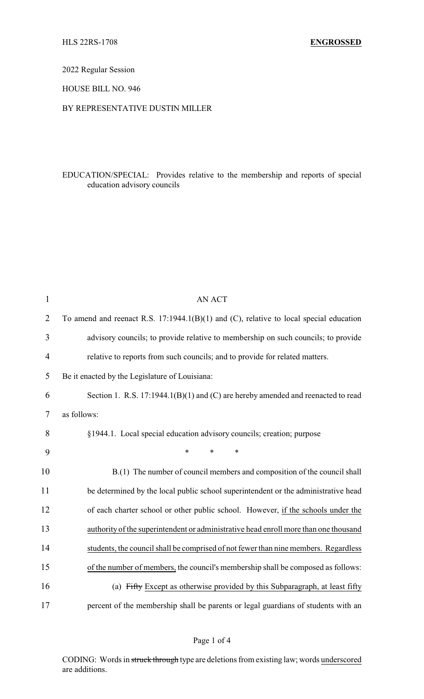2022 Regular Session

HOUSE BILL NO. 946

## BY REPRESENTATIVE DUSTIN MILLER

# EDUCATION/SPECIAL: Provides relative to the membership and reports of special education advisory councils

| $\mathbf{1}$   | <b>AN ACT</b>                                                                            |
|----------------|------------------------------------------------------------------------------------------|
| $\overline{2}$ | To amend and reenact R.S. $17:1944.1(B)(1)$ and (C), relative to local special education |
| 3              | advisory councils; to provide relative to membership on such councils; to provide        |
| 4              | relative to reports from such councils; and to provide for related matters.              |
| 5              | Be it enacted by the Legislature of Louisiana:                                           |
| 6              | Section 1. R.S. 17:1944.1(B)(1) and (C) are hereby amended and reenacted to read         |
| $\tau$         | as follows:                                                                              |
| 8              | §1944.1. Local special education advisory councils; creation; purpose                    |
| 9              | $\ast$<br>$\ast$<br>*                                                                    |
| 10             | B.(1) The number of council members and composition of the council shall                 |
| 11             | be determined by the local public school superintendent or the administrative head       |
| 12             | of each charter school or other public school. However, if the schools under the         |
| 13             | authority of the superintendent or administrative head enroll more than one thousand     |
| 14             | students, the council shall be comprised of not fewer than nine members. Regardless      |
| 15             | of the number of members, the council's membership shall be composed as follows:         |
| 16             | (a) Fifty Except as otherwise provided by this Subparagraph, at least fifty              |
| 17             | percent of the membership shall be parents or legal guardians of students with an        |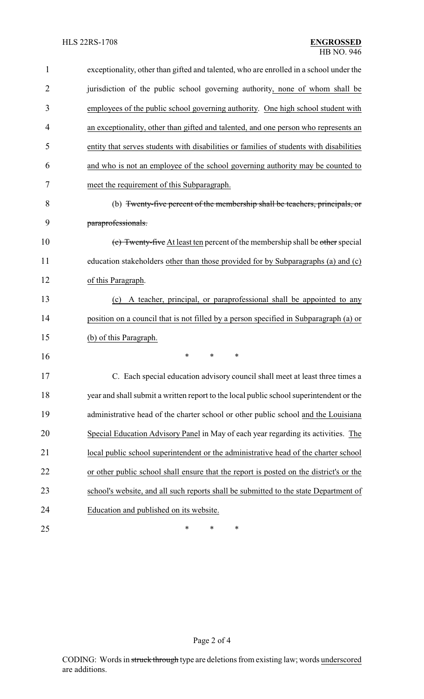| $\mathbf{1}$   | exceptionality, other than gifted and talented, who are enrolled in a school under the  |
|----------------|-----------------------------------------------------------------------------------------|
| $\overline{2}$ | jurisdiction of the public school governing authority, none of whom shall be            |
| 3              | employees of the public school governing authority. One high school student with        |
| 4              | an exceptionality, other than gifted and talented, and one person who represents an     |
| 5              | entity that serves students with disabilities or families of students with disabilities |
| 6              | and who is not an employee of the school governing authority may be counted to          |
| 7              | meet the requirement of this Subparagraph.                                              |
| 8              | (b) Twenty-five percent of the membership shall be teachers, principals, or             |
| 9              | paraprofessionals.                                                                      |
| 10             | (c) Twenty-five At least ten percent of the membership shall be other special           |
| 11             | education stakeholders other than those provided for by Subparagraphs (a) and (c)       |
| 12             | of this Paragraph.                                                                      |
| 13             | A teacher, principal, or paraprofessional shall be appointed to any<br>(c)              |
| 14             | position on a council that is not filled by a person specified in Subparagraph (a) or   |
| 15             | (b) of this Paragraph.                                                                  |
| 16             | ∗<br>$\ast$<br>*                                                                        |
| 17             | C. Each special education advisory council shall meet at least three times a            |
| 18             | year and shall submit a written report to the local public school superintendent or the |
| 19             | administrative head of the charter school or other public school and the Louisiana      |
| 20             | Special Education Advisory Panel in May of each year regarding its activities. The      |
| 21             | local public school superintendent or the administrative head of the charter school     |
| 22             | or other public school shall ensure that the report is posted on the district's or the  |
| 23             | school's website, and all such reports shall be submitted to the state Department of    |
| 24             | Education and published on its website.                                                 |
| 25             | ∗<br>∗<br>∗                                                                             |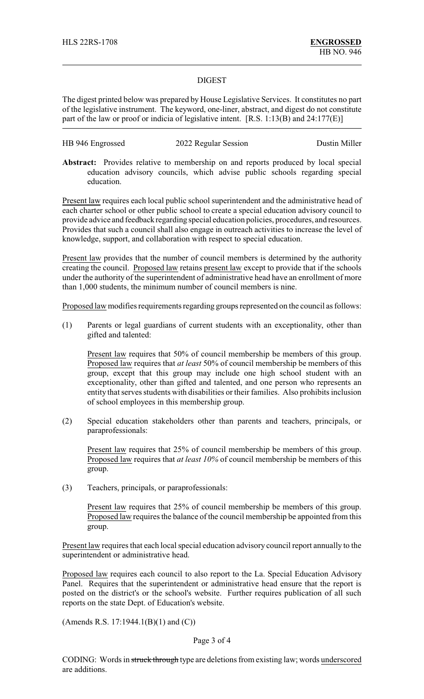### DIGEST

The digest printed below was prepared by House Legislative Services. It constitutes no part of the legislative instrument. The keyword, one-liner, abstract, and digest do not constitute part of the law or proof or indicia of legislative intent. [R.S. 1:13(B) and 24:177(E)]

| HB 946 Engrossed | 2022 Regular Session | Dustin Miller |
|------------------|----------------------|---------------|
|------------------|----------------------|---------------|

**Abstract:** Provides relative to membership on and reports produced by local special education advisory councils, which advise public schools regarding special education.

Present law requires each local public school superintendent and the administrative head of each charter school or other public school to create a special education advisory council to provide advice and feedback regarding special education policies, procedures, and resources. Provides that such a council shall also engage in outreach activities to increase the level of knowledge, support, and collaboration with respect to special education.

Present law provides that the number of council members is determined by the authority creating the council. Proposed law retains present law except to provide that if the schools under the authority of the superintendent of administrative head have an enrollment of more than 1,000 students, the minimum number of council members is nine.

Proposed law modifies requirements regarding groups represented on the council as follows:

(1) Parents or legal guardians of current students with an exceptionality, other than gifted and talented:

Present law requires that 50% of council membership be members of this group. Proposed law requires that *at least* 50% of council membership be members of this group, except that this group may include one high school student with an exceptionality, other than gifted and talented, and one person who represents an entity that serves students with disabilities or their families. Also prohibits inclusion of school employees in this membership group.

(2) Special education stakeholders other than parents and teachers, principals, or paraprofessionals:

Present law requires that 25% of council membership be members of this group. Proposed law requires that *at least 10%* of council membership be members of this group.

(3) Teachers, principals, or paraprofessionals:

Present law requires that 25% of council membership be members of this group. Proposed law requires the balance of the council membership be appointed from this group.

Present law requires that each local special education advisory council report annually to the superintendent or administrative head.

Proposed law requires each council to also report to the La. Special Education Advisory Panel. Requires that the superintendent or administrative head ensure that the report is posted on the district's or the school's website. Further requires publication of all such reports on the state Dept. of Education's website.

(Amends R.S. 17:1944.1(B)(1) and (C))

#### Page 3 of 4

CODING: Words in struck through type are deletions from existing law; words underscored are additions.